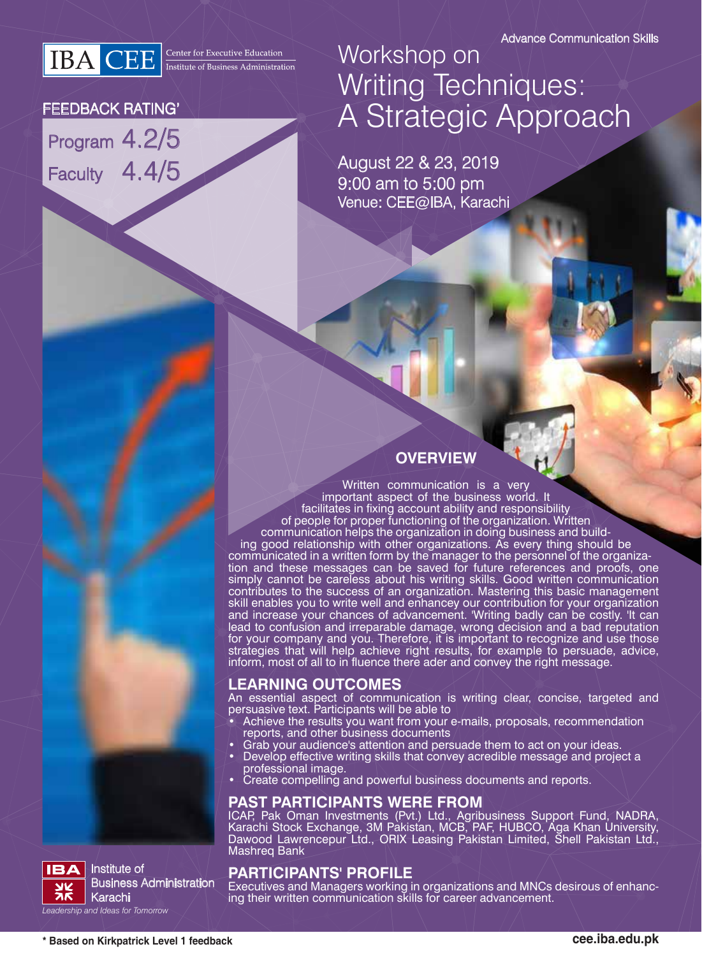**IBA** CEE **Executive Education** 

#### FEEDBACK RATING'

Program 4.2/5 Faculty 4.4/5

# Workshop on Writing Techniques: A Strategic Approach

August 22 & 23, 2019 9:00 am to 5:00 pm Venue: CEE@IBA, Karachi

### **OVERVIEW**

Written communication is a very important aspect of the business world. It facilitates in fixing account ability and responsibility of people for proper functioning of the organization. Written communication helps the organization in doing business and building good relationship with other organizations. As every thing should be communicated in a written form by the manager to the personnel of the organization and these messages can be saved for future references and proofs, one simply cannot be careless about his writing skills. Good written communication contributes to the success of an organization. Mastering this basic management skill enables you to write well and enhancey our contribution for your organization and increase your chances of advancement. 'Writing badly can be costly. 'It can lead to confusion and irreparable damage, wrong decision and a bad reputation for your company and you. Therefore, it is important to recognize and use those strategies that will help achieve right results, for example to persuade, advice, inform, most of all to in fluence there ader and convey the right message.

#### **LEARNING OUTCOMES**

An essential aspect of communication is writing clear, concise, targeted and persuasive text. Participants will be able to

- Achieve the results you want from your e-mails, proposals, recommendation reports, and other business documents
- Grab your audience's attention and persuade them to act on your ideas.
- Develop effective writing skills that convey acredible message and project a professional image.
- Create compelling and powerful business documents and reports.

#### **PAST PARTICIPANTS WERE FROM**

ICAP, Pak Oman Investments (Pvt.) Ltd., Agribusiness Support Fund, NADRA, Karachi Stock Exchange, 3M Pakistan, MCB, PAF, HUBCO, Aga Khan University, Dawood Lawrencepur Ltd., ORIX Leasing Pakistan Limited, Shell Pakistan Ltd., Mashreq Bank

#### **PARTICIPANTS' PROFILE**

Executives and Managers working in organizations and MNCs desirous of enhancing their written communication skills for career advancement.



Institute of Business Administration Karachi *Leadership and Ideas for Tomorrow*